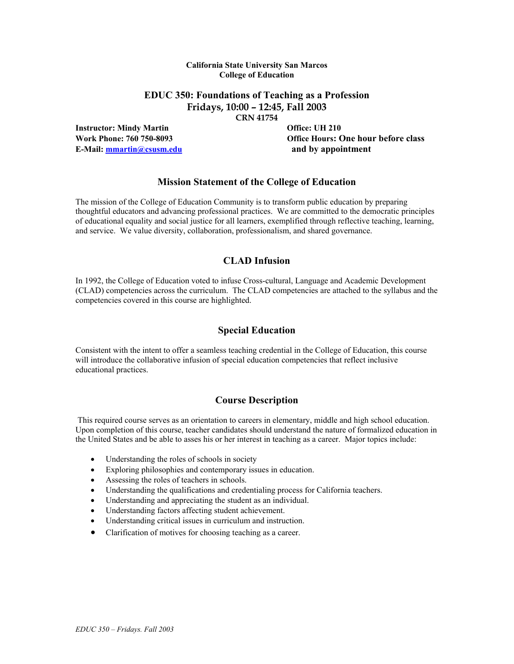### **California State University San Marcos College of Education**

# **EDUC 350: Foundations of Teaching as a Profession Fridays, 10:00 – 12:45, Fall 2003**

**CRN 41754** 

**Instructor: Mindy Martin Community Community Community Community Office: UH 210 E-Mail: mmartin@csusm.edu and by appointment**

**Work Phone: 760 750-8093 Office Hours: One hour before class** 

# **Mission Statement of the College of Education**

The mission of the College of Education Community is to transform public education by preparing thoughtful educators and advancing professional practices. We are committed to the democratic principles of educational equality and social justice for all learners, exemplified through reflective teaching, learning, and service. We value diversity, collaboration, professionalism, and shared governance.

# **CLAD Infusion**

In 1992, the College of Education voted to infuse Cross-cultural, Language and Academic Development (CLAD) competencies across the curriculum. The CLAD competencies are attached to the syllabus and the competencies covered in this course are highlighted.

# **Special Education**

Consistent with the intent to offer a seamless teaching credential in the College of Education, this course will introduce the collaborative infusion of special education competencies that reflect inclusive educational practices.

# **Course Description**

This required course serves as an orientation to careers in elementary, middle and high school education. Upon completion of this course, teacher candidates should understand the nature of formalized education in the United States and be able to asses his or her interest in teaching as a career. Major topics include:

- Understanding the roles of schools in society
- Exploring philosophies and contemporary issues in education.
- Assessing the roles of teachers in schools.
- Understanding the qualifications and credentialing process for California teachers.
- Understanding and appreciating the student as an individual.
- Understanding factors affecting student achievement.
- Understanding critical issues in curriculum and instruction.
- Clarification of motives for choosing teaching as a career.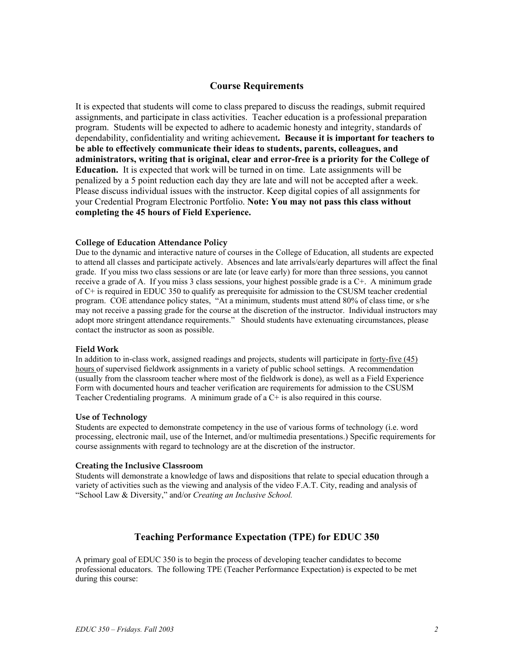## **Course Requirements**

It is expected that students will come to class prepared to discuss the readings, submit required assignments, and participate in class activities. Teacher education is a professional preparation program. Students will be expected to adhere to academic honesty and integrity, standards of dependability, confidentiality and writing achievement**. Because it is important for teachers to be able to effectively communicate their ideas to students, parents, colleagues, and administrators, writing that is original, clear and error-free is a priority for the College of Education.** It is expected that work will be turned in on time. Late assignments will be penalized by a 5 point reduction each day they are late and will not be accepted after a week. Please discuss individual issues with the instructor. Keep digital copies of all assignments for your Credential Program Electronic Portfolio. **Note: You may not pass this class without completing the 45 hours of Field Experience.** 

### **College of Education Attendance Policy**

Due to the dynamic and interactive nature of courses in the College of Education, all students are expected to attend all classes and participate actively. Absences and late arrivals/early departures will affect the final grade. If you miss two class sessions or are late (or leave early) for more than three sessions, you cannot receive a grade of A. If you miss 3 class sessions, your highest possible grade is a C+. A minimum grade of C+ is required in EDUC 350 to qualify as prerequisite for admission to the CSUSM teacher credential program. COE attendance policy states, "At a minimum, students must attend 80% of class time, or s/he may not receive a passing grade for the course at the discretion of the instructor. Individual instructors may adopt more stringent attendance requirements." Should students have extenuating circumstances, please contact the instructor as soon as possible.

#### **Field Work**

In addition to in-class work, assigned readings and projects, students will participate in forty-five (45) hours of supervised fieldwork assignments in a variety of public school settings. A recommendation (usually from the classroom teacher where most of the fieldwork is done), as well as a Field Experience Form with documented hours and teacher verification are requirements for admission to the CSUSM Teacher Credentialing programs. A minimum grade of  $a<sup>C+</sup>$  is also required in this course.

#### **Use of Technology**

Students are expected to demonstrate competency in the use of various forms of technology (i.e. word processing, electronic mail, use of the Internet, and/or multimedia presentations.) Specific requirements for course assignments with regard to technology are at the discretion of the instructor.

#### **Creating the Inclusive Classroom**

Students will demonstrate a knowledge of laws and dispositions that relate to special education through a variety of activities such as the viewing and analysis of the video F.A.T. City, reading and analysis of "School Law & Diversity," and/or *Creating an Inclusive School.*

## **Teaching Performance Expectation (TPE) for EDUC 350**

A primary goal of EDUC 350 is to begin the process of developing teacher candidates to become professional educators. The following TPE (Teacher Performance Expectation) is expected to be met during this course: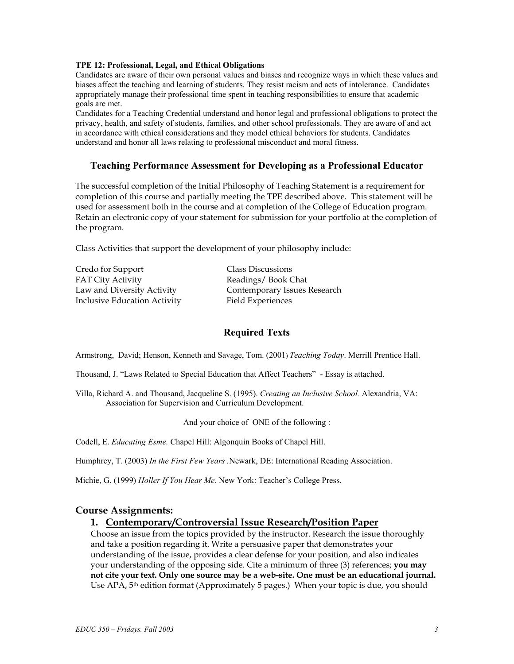### **TPE 12: Professional, Legal, and Ethical Obligations**

Candidates are aware of their own personal values and biases and recognize ways in which these values and biases affect the teaching and learning of students. They resist racism and acts of intolerance. Candidates appropriately manage their professional time spent in teaching responsibilities to ensure that academic goals are met.

Candidates for a Teaching Credential understand and honor legal and professional obligations to protect the privacy, health, and safety of students, families, and other school professionals. They are aware of and act in accordance with ethical considerations and they model ethical behaviors for students. Candidates understand and honor all laws relating to professional misconduct and moral fitness.

## **Teaching Performance Assessment for Developing as a Professional Educator**

The successful completion of the Initial Philosophy of Teaching Statement is a requirement for completion of this course and partially meeting the TPE described above. This statement will be used for assessment both in the course and at completion of the College of Education program. Retain an electronic copy of your statement for submission for your portfolio at the completion of the program.

Class Activities that support the development of your philosophy include:

Credo for Support Class Discussions FAT City Activity **Readings** / Book Chat Inclusive Education Activity Field Experiences

Law and Diversity Activity Contemporary Issues Research

## **Required Texts**

Armstrong, David; Henson, Kenneth and Savage, Tom. (2001) *Teaching Today*. Merrill Prentice Hall.

Thousand, J. "Laws Related to Special Education that Affect Teachers" - Essay is attached.

Villa, Richard A. and Thousand, Jacqueline S. (1995). *Creating an Inclusive School.* Alexandria, VA: Association for Supervision and Curriculum Development.

And your choice of ONE of the following :

Codell, E. *Educating Esme.* Chapel Hill: Algonquin Books of Chapel Hill.

Humphrey, T. (2003) *In the First Few Years .*Newark, DE: International Reading Association.

Michie, G. (1999) *Holler If You Hear Me.* New York: Teacher's College Press.

### **Course Assignments:**

### **1. Contemporary/Controversial Issue Research/Position Paper**

Choose an issue from the topics provided by the instructor. Research the issue thoroughly and take a position regarding it. Write a persuasive paper that demonstrates your understanding of the issue, provides a clear defense for your position, and also indicates your understanding of the opposing side. Cite a minimum of three (3) references; **you may not cite your text. Only one source may be a web-site. One must be an educational journal.**  Use APA, 5<sup>th</sup> edition format (Approximately 5 pages.) When your topic is due, you should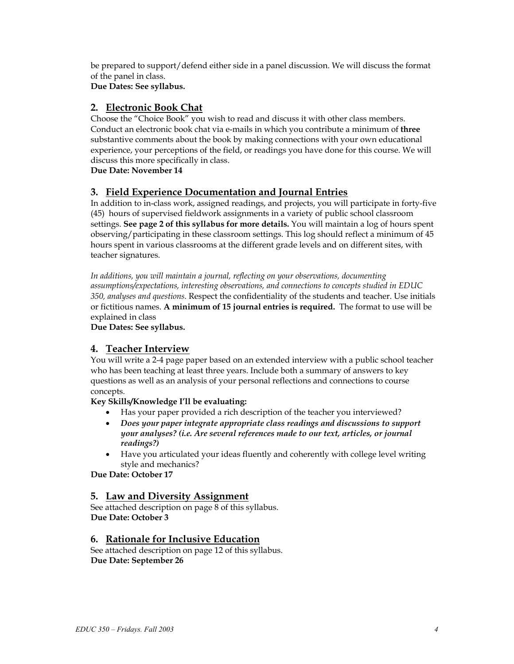be prepared to support/defend either side in a panel discussion. We will discuss the format of the panel in class.

**Due Dates: See syllabus.** 

# **2. Electronic Book Chat**

Choose the "Choice Book" you wish to read and discuss it with other class members. Conduct an electronic book chat via e-mails in which you contribute a minimum of **three** substantive comments about the book by making connections with your own educational experience, your perceptions of the field, or readings you have done for this course. We will discuss this more specifically in class.

**Due Date: November 14** 

# **3. Field Experience Documentation and Journal Entries**

In addition to in-class work, assigned readings, and projects, you will participate in forty-five (45) hours of supervised fieldwork assignments in a variety of public school classroom settings. **See page 2 of this syllabus for more details.** You will maintain a log of hours spent observing/participating in these classroom settings. This log should reflect a minimum of 45 hours spent in various classrooms at the different grade levels and on different sites, with teacher signatures.

*In additions, you will maintain a journal, reflecting on your observations, documenting assumptions/expectations, interesting observations, and connections to concepts studied in EDUC 350, analyses and questions.* Respect the confidentiality of the students and teacher. Use initials or fictitious names. **A minimum of 15 journal entries is required.** The format to use will be explained in class

**Due Dates: See syllabus.** 

# **4. Teacher Interview**

You will write a 2-4 page paper based on an extended interview with a public school teacher who has been teaching at least three years. Include both a summary of answers to key questions as well as an analysis of your personal reflections and connections to course concepts.

# **Key Skills/Knowledge I'll be evaluating:**

- Has your paper provided a rich description of the teacher you interviewed?
- *Does your paper integrate appropriate class readings and discussions to support your analyses? (i.e. Are several references made to our text, articles, or journal readings?)*
- Have you articulated your ideas fluently and coherently with college level writing style and mechanics?

**Due Date: October 17** 

# **5. Law and Diversity Assignment**

See attached description on page 8 of this syllabus. **Due Date: October 3** 

# **6. Rationale for Inclusive Education**

See attached description on page 12 of this syllabus. **Due Date: September 26**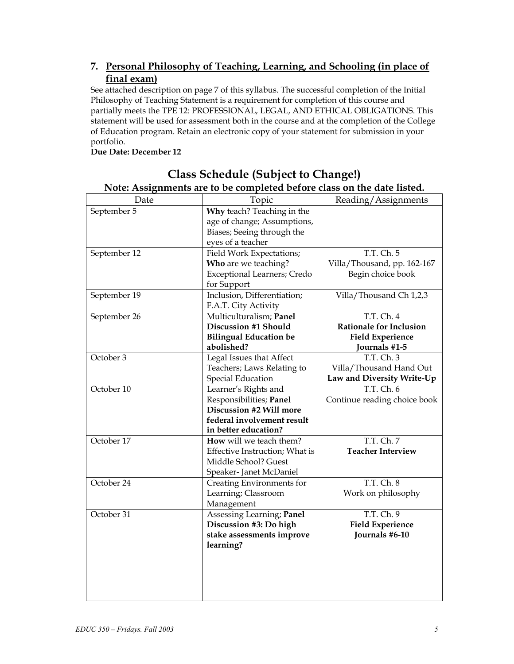# **7. Personal Philosophy of Teaching, Learning, and Schooling (in place of final exam)**

See attached description on page 7 of this syllabus. The successful completion of the Initial Philosophy of Teaching Statement is a requirement for completion of this course and partially meets the TPE 12: PROFESSIONAL, LEGAL, AND ETHICAL OBLIGATIONS. This statement will be used for assessment both in the course and at the completion of the College of Education program. Retain an electronic copy of your statement for submission in your portfolio.

**Due Date: December 12** 

| Date         | Note: Assignments are to be completed before class on the date listed.<br>Topic | Reading/Assignments            |
|--------------|---------------------------------------------------------------------------------|--------------------------------|
| September 5  | Why teach? Teaching in the                                                      |                                |
|              | age of change; Assumptions,                                                     |                                |
|              | Biases; Seeing through the                                                      |                                |
|              | eyes of a teacher                                                               |                                |
|              |                                                                                 | T.T. Ch. 5                     |
| September 12 | Field Work Expectations;                                                        |                                |
|              | Who are we teaching?                                                            | Villa/Thousand, pp. 162-167    |
|              | Exceptional Learners; Credo                                                     | Begin choice book              |
|              | for Support                                                                     |                                |
| September 19 | Inclusion, Differentiation;                                                     | Villa/Thousand Ch 1,2,3        |
|              | F.A.T. City Activity                                                            |                                |
| September 26 | Multiculturalism; Panel                                                         | T.T. Ch. 4                     |
|              | <b>Discussion #1 Should</b>                                                     | <b>Rationale for Inclusion</b> |
|              | <b>Bilingual Education be</b>                                                   | <b>Field Experience</b>        |
|              | abolished?                                                                      | Journals #1-5                  |
| October 3    | Legal Issues that Affect                                                        | T.T. Ch. 3                     |
|              | Teachers; Laws Relating to                                                      | Villa/Thousand Hand Out        |
|              | <b>Special Education</b>                                                        | Law and Diversity Write-Up     |
| October 10   | Learner's Rights and                                                            | T.T. Ch. 6                     |
|              | Responsibilities; Panel                                                         | Continue reading choice book   |
|              | Discussion #2 Will more                                                         |                                |
|              | federal involvement result                                                      |                                |
|              | in better education?                                                            |                                |
| October 17   | How will we teach them?                                                         | T.T. Ch. 7                     |
|              | Effective Instruction; What is                                                  | <b>Teacher Interview</b>       |
|              | Middle School? Guest                                                            |                                |
|              | Speaker- Janet McDaniel                                                         |                                |
| October 24   | Creating Environments for                                                       | T.T. Ch. 8                     |
|              | Learning; Classroom                                                             | Work on philosophy             |
|              | Management                                                                      |                                |
| October 31   | Assessing Learning; Panel                                                       | T.T. Ch. 9                     |
|              | Discussion #3: Do high                                                          | <b>Field Experience</b>        |
|              | stake assessments improve                                                       | Journals #6-10                 |
|              | learning?                                                                       |                                |
|              |                                                                                 |                                |
|              |                                                                                 |                                |
|              |                                                                                 |                                |
|              |                                                                                 |                                |
|              |                                                                                 |                                |

# **Class Schedule (Subject to Change!) Note: Assignments are to be completed before class on the date listed.**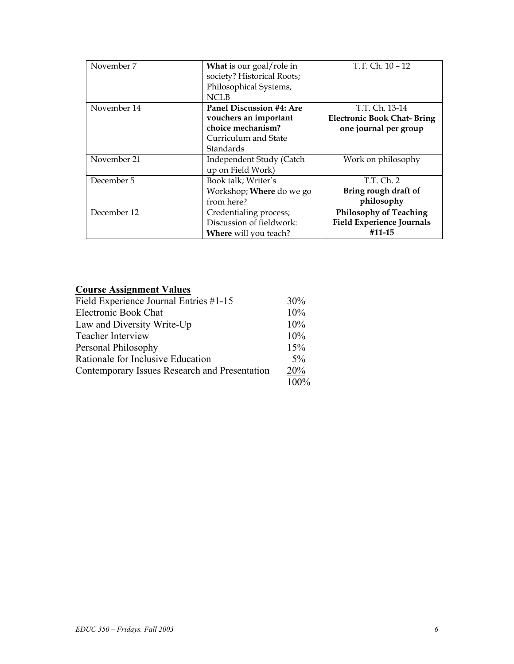| November 7  | What is our goal/role in<br>society? Historical Roots;<br>Philosophical Systems,<br><b>NCLB</b>             | T.T. Ch. 10 - 12                                                             |
|-------------|-------------------------------------------------------------------------------------------------------------|------------------------------------------------------------------------------|
| November 14 | Panel Discussion #4: Are<br>vouchers an important<br>choice mechanism?<br>Curriculum and State<br>Standards | T.T. Ch. 13-14<br><b>Electronic Book Chat-Bring</b><br>one journal per group |
| November 21 | Independent Study (Catch<br>up on Field Work)                                                               | Work on philosophy                                                           |
| December 5  | Book talk; Writer's<br>Workshop; <b>Where</b> do we go<br>from here?                                        | T.T. Ch. 2<br>Bring rough draft of<br>philosophy                             |
| December 12 | Credentialing process;<br>Discussion of fieldwork:<br>Where will you teach?                                 | <b>Philosophy of Teaching</b><br><b>Field Experience Journals</b><br>#11-15  |

# **Course Assignment Values**

| Field Experience Journal Entries #1-15        | 30%   |
|-----------------------------------------------|-------|
| Electronic Book Chat                          | 10%   |
| Law and Diversity Write-Up                    | 10%   |
| <b>Teacher Interview</b>                      | 10%   |
| Personal Philosophy                           | 15%   |
| Rationale for Inclusive Education             | $5\%$ |
| Contemporary Issues Research and Presentation | 20%   |
|                                               | 100%  |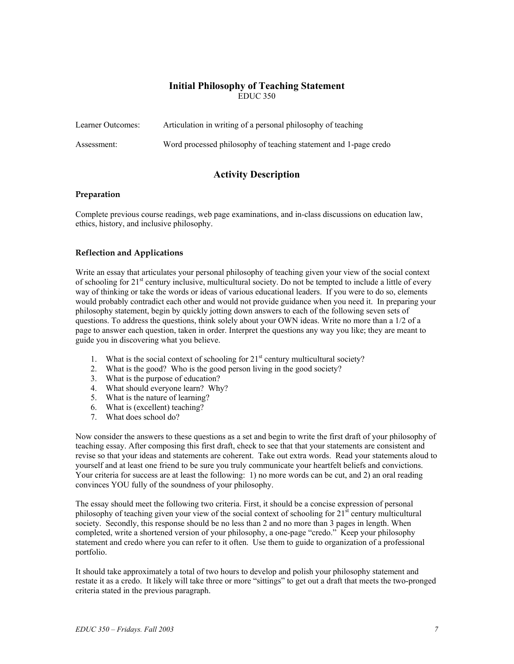### **Initial Philosophy of Teaching Statement**  EDUC 350

| Learner Outcomes: | Articulation in writing of a personal philosophy of teaching     |
|-------------------|------------------------------------------------------------------|
| Assessment:       | Word processed philosophy of teaching statement and 1-page credo |

# **Activity Description**

### **Preparation**

Complete previous course readings, web page examinations, and in-class discussions on education law, ethics, history, and inclusive philosophy.

### **Reflection and Applications**

Write an essay that articulates your personal philosophy of teaching given your view of the social context of schooling for 21<sup>st</sup> century inclusive, multicultural society. Do not be tempted to include a little of every way of thinking or take the words or ideas of various educational leaders. If you were to do so, elements would probably contradict each other and would not provide guidance when you need it. In preparing your philosophy statement, begin by quickly jotting down answers to each of the following seven sets of questions. To address the questions, think solely about your OWN ideas. Write no more than a 1/2 of a page to answer each question, taken in order. Interpret the questions any way you like; they are meant to guide you in discovering what you believe.

- 1. What is the social context of schooling for  $21<sup>st</sup>$  century multicultural society?
- 2. What is the good? Who is the good person living in the good society?
- 3. What is the purpose of education?
- 4. What should everyone learn? Why?
- 5. What is the nature of learning?
- 6. What is (excellent) teaching?
- 7. What does school do?

Now consider the answers to these questions as a set and begin to write the first draft of your philosophy of teaching essay. After composing this first draft, check to see that that your statements are consistent and revise so that your ideas and statements are coherent. Take out extra words. Read your statements aloud to yourself and at least one friend to be sure you truly communicate your heartfelt beliefs and convictions. Your criteria for success are at least the following: 1) no more words can be cut, and 2) an oral reading convinces YOU fully of the soundness of your philosophy.

The essay should meet the following two criteria. First, it should be a concise expression of personal philosophy of teaching given your view of the social context of schooling for  $21<sup>st</sup>$  century multicultural society. Secondly, this response should be no less than 2 and no more than 3 pages in length. When completed, write a shortened version of your philosophy, a one-page "credo." Keep your philosophy statement and credo where you can refer to it often. Use them to guide to organization of a professional portfolio.

It should take approximately a total of two hours to develop and polish your philosophy statement and restate it as a credo. It likely will take three or more "sittings" to get out a draft that meets the two-pronged criteria stated in the previous paragraph.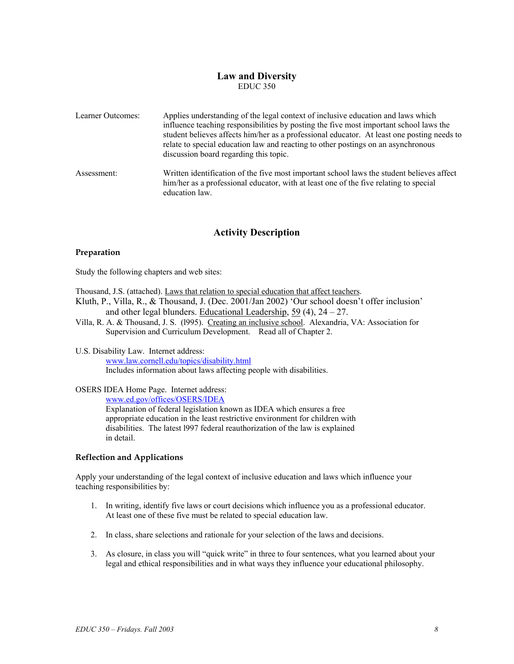## **Law and Diversity**  EDUC 350

| Learner Outcomes: | Applies understanding of the legal context of inclusive education and laws which<br>influence teaching responsibilities by posting the five most important school laws the<br>student believes affects him/her as a professional educator. At least one posting needs to<br>relate to special education law and reacting to other postings on an asynchronous<br>discussion board regarding this topic. |
|-------------------|---------------------------------------------------------------------------------------------------------------------------------------------------------------------------------------------------------------------------------------------------------------------------------------------------------------------------------------------------------------------------------------------------------|
| Assessment:       | Written identification of the five most important school laws the student believes affect<br>him/her as a professional educator, with at least one of the five relating to special<br>education law.                                                                                                                                                                                                    |

# **Activity Description**

### **Preparation**

Study the following chapters and web sites:

Thousand, J.S. (attached). Laws that relation to special education that affect teachers.

- Kluth, P., Villa, R., & Thousand, J. (Dec. 2001/Jan 2002) 'Our school doesn't offer inclusion' and other legal blunders. Educational Leadership,  $59(4)$ ,  $24-27$ .
- Villa, R. A. & Thousand, J. S. (l995). Creating an inclusive school. Alexandria, VA: Association for Supervision and Curriculum Development. Read all of Chapter 2.

#### U.S. Disability Law. Internet address: www.law.cornell.edu/topics/disability.html Includes information about laws affecting people with disabilities.

### OSERS IDEA Home Page. Internet address:

www.ed.gov/offices/OSERS/IDEA

Explanation of federal legislation known as IDEA which ensures a free appropriate education in the least restrictive environment for children with disabilities. The latest l997 federal reauthorization of the law is explained in detail.

### **Reflection and Applications**

Apply your understanding of the legal context of inclusive education and laws which influence your teaching responsibilities by:

- 1. In writing, identify five laws or court decisions which influence you as a professional educator. At least one of these five must be related to special education law.
- 2. In class, share selections and rationale for your selection of the laws and decisions.
- 3. As closure, in class you will "quick write" in three to four sentences, what you learned about your legal and ethical responsibilities and in what ways they influence your educational philosophy.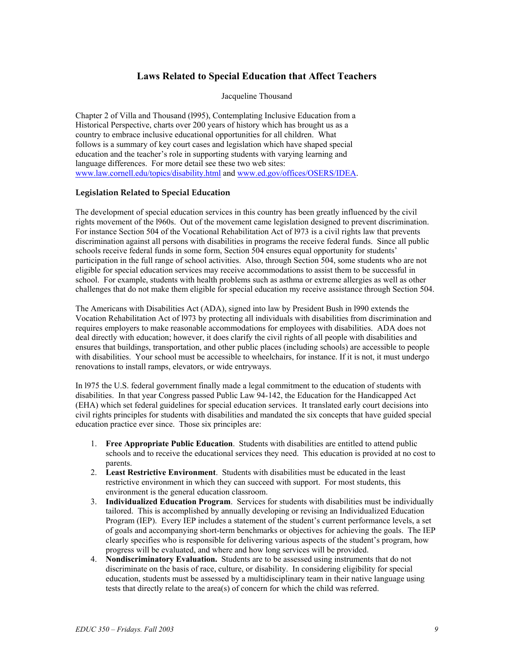# **Laws Related to Special Education that Affect Teachers**

Jacqueline Thousand

Chapter 2 of Villa and Thousand (l995), Contemplating Inclusive Education from a Historical Perspective, charts over 200 years of history which has brought us as a country to embrace inclusive educational opportunities for all children. What follows is a summary of key court cases and legislation which have shaped special education and the teacher's role in supporting students with varying learning and language differences. For more detail see these two web sites: www.law.cornell.edu/topics/disability.html and www.ed.gov/offices/OSERS/IDEA.

### **Legislation Related to Special Education**

The development of special education services in this country has been greatly influenced by the civil rights movement of the l960s. Out of the movement came legislation designed to prevent discrimination. For instance Section 504 of the Vocational Rehabilitation Act of l973 is a civil rights law that prevents discrimination against all persons with disabilities in programs the receive federal funds. Since all public schools receive federal funds in some form, Section 504 ensures equal opportunity for students' participation in the full range of school activities. Also, through Section 504, some students who are not eligible for special education services may receive accommodations to assist them to be successful in school. For example, students with health problems such as asthma or extreme allergies as well as other challenges that do not make them eligible for special education my receive assistance through Section 504.

The Americans with Disabilities Act (ADA), signed into law by President Bush in l990 extends the Vocation Rehabilitation Act of l973 by protecting all individuals with disabilities from discrimination and requires employers to make reasonable accommodations for employees with disabilities. ADA does not deal directly with education; however, it does clarify the civil rights of all people with disabilities and ensures that buildings, transportation, and other public places (including schools) are accessible to people with disabilities. Your school must be accessible to wheelchairs, for instance. If it is not, it must undergo renovations to install ramps, elevators, or wide entryways.

In l975 the U.S. federal government finally made a legal commitment to the education of students with disabilities. In that year Congress passed Public Law 94-142, the Education for the Handicapped Act (EHA) which set federal guidelines for special education services. It translated early court decisions into civil rights principles for students with disabilities and mandated the six concepts that have guided special education practice ever since. Those six principles are:

- 1. **Free Appropriate Public Education**. Students with disabilities are entitled to attend public schools and to receive the educational services they need. This education is provided at no cost to parents.
- 2. **Least Restrictive Environment**. Students with disabilities must be educated in the least restrictive environment in which they can succeed with support. For most students, this environment is the general education classroom.
- 3. **Individualized Education Program**. Services for students with disabilities must be individually tailored. This is accomplished by annually developing or revising an Individualized Education Program (IEP). Every IEP includes a statement of the student's current performance levels, a set of goals and accompanying short-term benchmarks or objectives for achieving the goals. The IEP clearly specifies who is responsible for delivering various aspects of the student's program, how progress will be evaluated, and where and how long services will be provided.
- 4. **Nondiscriminatory Evaluation.** Students are to be assessed using instruments that do not discriminate on the basis of race, culture, or disability. In considering eligibility for special education, students must be assessed by a multidisciplinary team in their native language using tests that directly relate to the area(s) of concern for which the child was referred.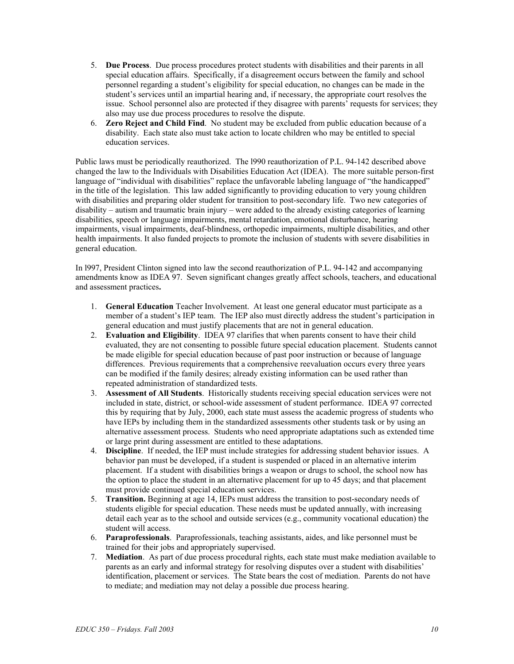- 5. **Due Process**. Due process procedures protect students with disabilities and their parents in all special education affairs. Specifically, if a disagreement occurs between the family and school personnel regarding a student's eligibility for special education, no changes can be made in the student's services until an impartial hearing and, if necessary, the appropriate court resolves the issue. School personnel also are protected if they disagree with parents' requests for services; they also may use due process procedures to resolve the dispute.
- 6. **Zero Reject and Child Find**. No student may be excluded from public education because of a disability. Each state also must take action to locate children who may be entitled to special education services.

Public laws must be periodically reauthorized. The l990 reauthorization of P.L. 94-142 described above changed the law to the Individuals with Disabilities Education Act (IDEA). The more suitable person-first language of "individual with disabilities" replace the unfavorable labeling language of "the handicapped" in the title of the legislation. This law added significantly to providing education to very young children with disabilities and preparing older student for transition to post-secondary life. Two new categories of disability – autism and traumatic brain injury – were added to the already existing categories of learning disabilities, speech or language impairments, mental retardation, emotional disturbance, hearing impairments, visual impairments, deaf-blindness, orthopedic impairments, multiple disabilities, and other health impairments. It also funded projects to promote the inclusion of students with severe disabilities in general education.

In l997, President Clinton signed into law the second reauthorization of P.L. 94-142 and accompanying amendments know as IDEA 97. Seven significant changes greatly affect schools, teachers, and educational and assessment practices**.** 

- 1. **General Education** Teacher Involvement. At least one general educator must participate as a member of a student's IEP team. The IEP also must directly address the student's participation in general education and must justify placements that are not in general education.
- 2. **Evaluation and Eligibility**. IDEA 97 clarifies that when parents consent to have their child evaluated, they are not consenting to possible future special education placement. Students cannot be made eligible for special education because of past poor instruction or because of language differences. Previous requirements that a comprehensive reevaluation occurs every three years can be modified if the family desires; already existing information can be used rather than repeated administration of standardized tests.
- 3. **Assessment of All Students**. Historically students receiving special education services were not included in state, district, or school-wide assessment of student performance. IDEA 97 corrected this by requiring that by July, 2000, each state must assess the academic progress of students who have IEPs by including them in the standardized assessments other students task or by using an alternative assessment process. Students who need appropriate adaptations such as extended time or large print during assessment are entitled to these adaptations.
- 4. **Discipline**. If needed, the IEP must include strategies for addressing student behavior issues. A behavior pan must be developed, if a student is suspended or placed in an alternative interim placement. If a student with disabilities brings a weapon or drugs to school, the school now has the option to place the student in an alternative placement for up to 45 days; and that placement must provide continued special education services.
- 5. **Transition.** Beginning at age 14, IEPs must address the transition to post-secondary needs of students eligible for special education. These needs must be updated annually, with increasing detail each year as to the school and outside services (e.g., community vocational education) the student will access.
- 6. **Paraprofessionals**. Paraprofessionals, teaching assistants, aides, and like personnel must be trained for their jobs and appropriately supervised.
- 7. **Mediation**. As part of due process procedural rights, each state must make mediation available to parents as an early and informal strategy for resolving disputes over a student with disabilities' identification, placement or services. The State bears the cost of mediation. Parents do not have to mediate; and mediation may not delay a possible due process hearing.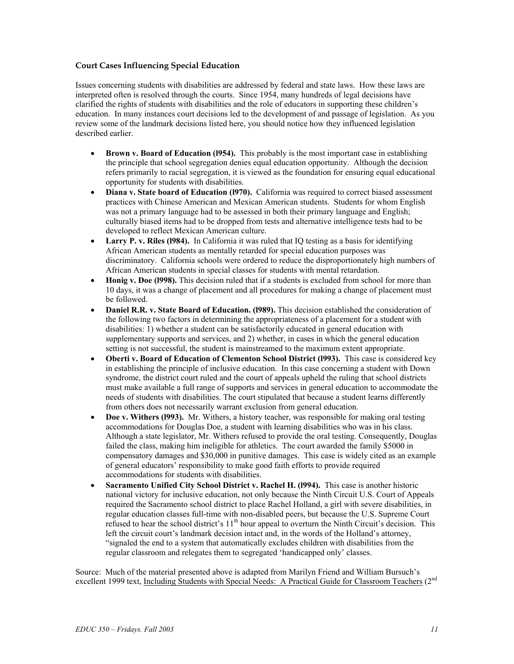### **Court Cases Influencing Special Education**

Issues concerning students with disabilities are addressed by federal and state laws. How these laws are interpreted often is resolved through the courts. Since 1954, many hundreds of legal decisions have clarified the rights of students with disabilities and the role of educators in supporting these children's education. In many instances court decisions led to the development of and passage of legislation. As you review some of the landmark decisions listed here, you should notice how they influenced legislation described earlier.

- **Brown v. Board of Education (1954).** This probably is the most important case in establishing the principle that school segregation denies equal education opportunity. Although the decision refers primarily to racial segregation, it is viewed as the foundation for ensuring equal educational opportunity for students with disabilities.
- **Diana v. State board of Education (l970).** California was required to correct biased assessment practices with Chinese American and Mexican American students. Students for whom English was not a primary language had to be assessed in both their primary language and English; culturally biased items had to be dropped from tests and alternative intelligence tests had to be developed to reflect Mexican American culture.
- **Larry P. v. Riles (1984).** In California it was ruled that IO testing as a basis for identifying African American students as mentally retarded for special education purposes was discriminatory. California schools were ordered to reduce the disproportionately high numbers of African American students in special classes for students with mental retardation.
- **Honig v. Doe (1998).** This decision ruled that if a students is excluded from school for more than 10 days, it was a change of placement and all procedures for making a change of placement must be followed.
- **Daniel R.R. v. State Board of Education. (l989).** This decision established the consideration of the following two factors in determining the appropriateness of a placement for a student with disabilities: 1) whether a student can be satisfactorily educated in general education with supplementary supports and services, and 2) whether, in cases in which the general education setting is not successful, the student is mainstreamed to the maximum extent appropriate.
- **Oberti v. Board of Education of Clementon School District (l993).** This case is considered key in establishing the principle of inclusive education. In this case concerning a student with Down syndrome, the district court ruled and the court of appeals upheld the ruling that school districts must make available a full range of supports and services in general education to accommodate the needs of students with disabilities. The court stipulated that because a student learns differently from others does not necessarily warrant exclusion from general education.
- **Doe v. Withers (l993).** Mr. Withers, a history teacher, was responsible for making oral testing accommodations for Douglas Doe, a student with learning disabilities who was in his class. Although a state legislator, Mr. Withers refused to provide the oral testing. Consequently, Douglas failed the class, making him ineligible for athletics. The court awarded the family \$5000 in compensatory damages and \$30,000 in punitive damages. This case is widely cited as an example of general educators' responsibility to make good faith efforts to provide required accommodations for students with disabilities.
- **Sacramento Unified City School District v. Rachel H. (l994).** This case is another historic national victory for inclusive education, not only because the Ninth Circuit U.S. Court of Appeals required the Sacramento school district to place Rachel Holland, a girl with severe disabilities, in regular education classes full-time with non-disabled peers, but because the U.S. Supreme Court refused to hear the school district's  $11<sup>th</sup>$  hour appeal to overturn the Ninth Circuit's decision. This left the circuit court's landmark decision intact and, in the words of the Holland's attorney, "signaled the end to a system that automatically excludes children with disabilities from the regular classroom and relegates them to segregated 'handicapped only' classes.

Source: Much of the material presented above is adapted from Marilyn Friend and William Bursuch's excellent 1999 text, Including Students with Special Needs: A Practical Guide for Classroom Teachers (2<sup>nd</sup>